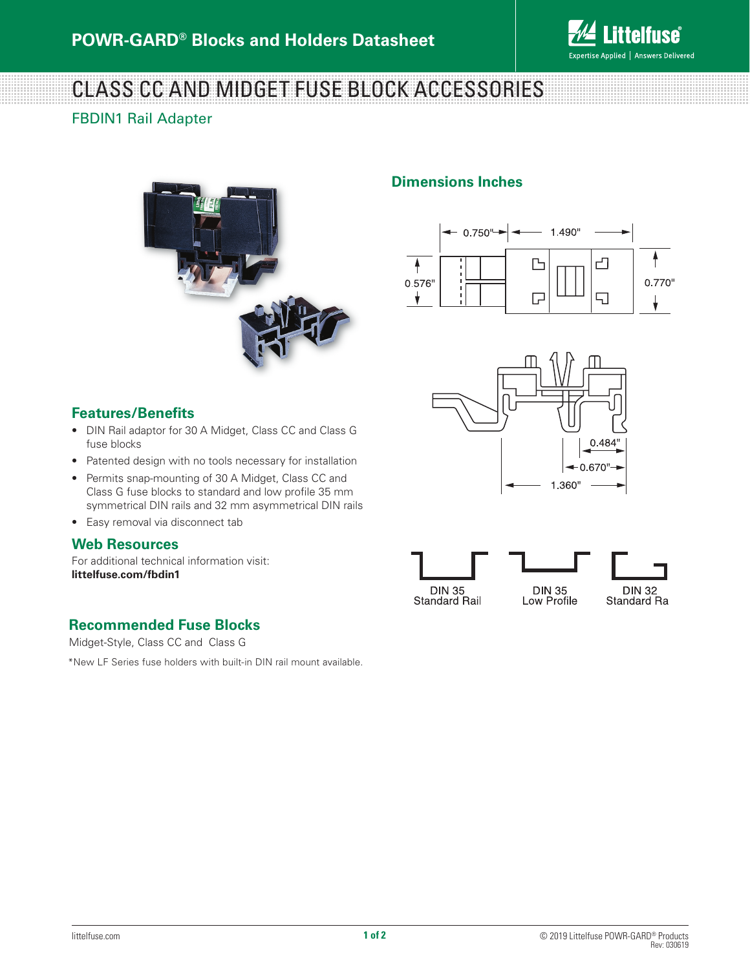

# CLASS CC AND MIDGET FUSE BLOCK ACCESSORIES

### FBDIN1 Rail Adapter



## **Dimensions Inches**





# **Features/Benefits**

- DIN Rail adaptor for 30 A Midget, Class CC and Class G fuse blocks
- Patented design with no tools necessary for installation
- Permits snap-mounting of 30 A Midget, Class CC and Class G fuse blocks to standard and low profile 35 mm symmetrical DIN rails and 32 mm asymmetrical DIN rails
- Easy removal via disconnect tab

#### **Web Resources**

For additional technical information visit: **littelfuse.com/fbdin1**

## **Recommended Fuse Blocks**

Midget-Style, Class CC and Class G

\*New LF Series fuse holders with built-in DIN rail mount available.